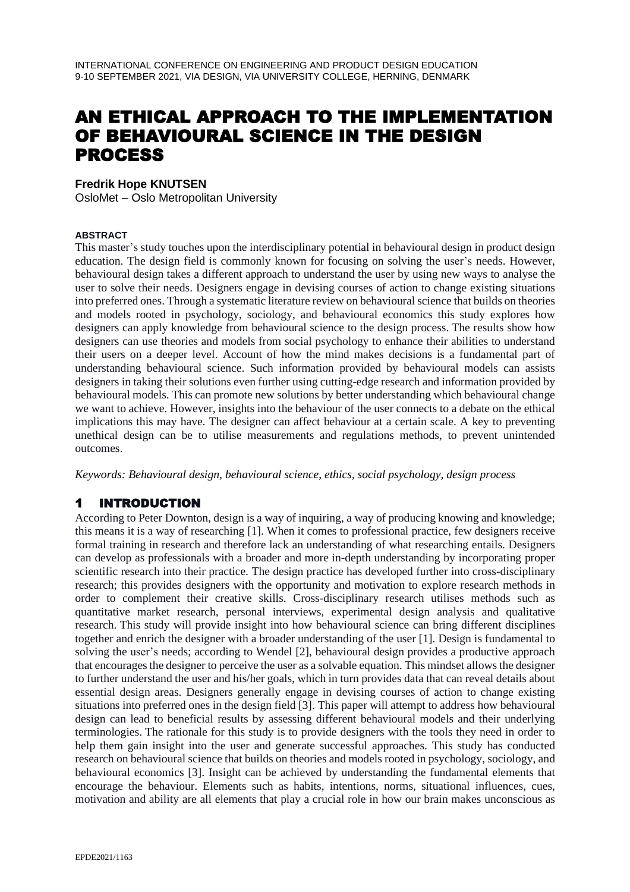# AN ETHICAL APPROACH TO THE IMPLEMENTATION OF BEHAVIOURAL SCIENCE IN THE DESIGN PROCESS

#### **Fredrik Hope KNUTSEN**

OsloMet – Oslo Metropolitan University

#### **ABSTRACT**

This master's study touches upon the interdisciplinary potential in behavioural design in product design education. The design field is commonly known for focusing on solving the user's needs. However, behavioural design takes a different approach to understand the user by using new ways to analyse the user to solve their needs. Designers engage in devising courses of action to change existing situations into preferred ones. Through a systematic literature review on behavioural science that builds on theories and models rooted in psychology, sociology, and behavioural economics this study explores how designers can apply knowledge from behavioural science to the design process. The results show how designers can use theories and models from social psychology to enhance their abilities to understand their users on a deeper level. Account of how the mind makes decisions is a fundamental part of understanding behavioural science. Such information provided by behavioural models can assists designers in taking their solutions even further using cutting-edge research and information provided by behavioural models. This can promote new solutions by better understanding which behavioural change we want to achieve. However, insights into the behaviour of the user connects to a debate on the ethical implications this may have. The designer can affect behaviour at a certain scale. A key to preventing unethical design can be to utilise measurements and regulations methods, to prevent unintended outcomes.

*Keywords: Behavioural design, behavioural science, ethics, social psychology, design process*

### 1 INTRODUCTION

According to Peter Downton, design is a way of inquiring, a way of producing knowing and knowledge; this means it is a way of researching [1]. When it comes to professional practice, few designers receive formal training in research and therefore lack an understanding of what researching entails. Designers can develop as professionals with a broader and more in-depth understanding by incorporating proper scientific research into their practice. The design practice has developed further into cross-disciplinary research; this provides designers with the opportunity and motivation to explore research methods in order to complement their creative skills. Cross-disciplinary research utilises methods such as quantitative market research, personal interviews, experimental design analysis and qualitative research. This study will provide insight into how behavioural science can bring different disciplines together and enrich the designer with a broader understanding of the user [1]. Design is fundamental to solving the user's needs; according to Wendel [2], behavioural design provides a productive approach that encourages the designer to perceive the user as a solvable equation. This mindset allows the designer to further understand the user and his/her goals, which in turn provides data that can reveal details about essential design areas. Designers generally engage in devising courses of action to change existing situations into preferred ones in the design field [3]. This paper will attempt to address how behavioural design can lead to beneficial results by assessing different behavioural models and their underlying terminologies. The rationale for this study is to provide designers with the tools they need in order to help them gain insight into the user and generate successful approaches. This study has conducted research on behavioural science that builds on theories and models rooted in psychology, sociology, and behavioural economics [3]. Insight can be achieved by understanding the fundamental elements that encourage the behaviour. Elements such as habits, intentions, norms, situational influences, cues, motivation and ability are all elements that play a crucial role in how our brain makes unconscious as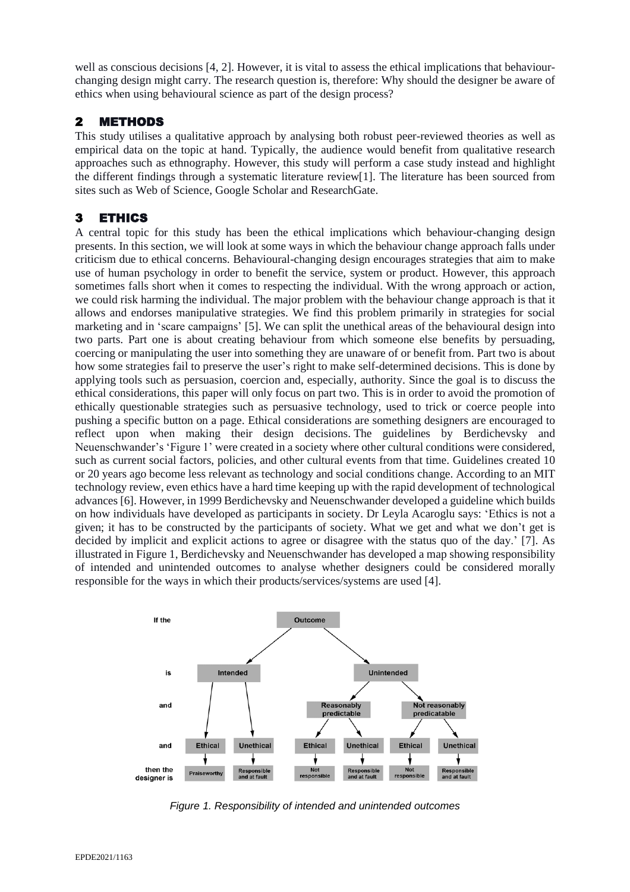well as conscious decisions [4, 2]. However, it is vital to assess the ethical implications that behaviourchanging design might carry. The research question is, therefore: Why should the designer be aware of ethics when using behavioural science as part of the design process?

#### 2 METHODS

This study utilises a qualitative approach by analysing both robust peer-reviewed theories as well as empirical data on the topic at hand. Typically, the audience would benefit from qualitative research approaches such as ethnography. However, this study will perform a case study instead and highlight the different findings through a systematic literature review[1]. The literature has been sourced from sites such as Web of Science, Google Scholar and ResearchGate.

### 3 ETHICS

A central topic for this study has been the ethical implications which behaviour-changing design presents. In this section, we will look at some ways in which the behaviour change approach falls under criticism due to ethical concerns. Behavioural-changing design encourages strategies that aim to make use of human psychology in order to benefit the service, system or product. However, this approach sometimes falls short when it comes to respecting the individual. With the wrong approach or action, we could risk harming the individual. The major problem with the behaviour change approach is that it allows and endorses manipulative strategies. We find this problem primarily in strategies for social marketing and in 'scare campaigns' [5]. We can split the unethical areas of the behavioural design into two parts. Part one is about creating behaviour from which someone else benefits by persuading, coercing or manipulating the user into something they are unaware of or benefit from. Part two is about how some strategies fail to preserve the user's right to make self-determined decisions. This is done by applying tools such as persuasion, coercion and, especially, authority. Since the goal is to discuss the ethical considerations, this paper will only focus on part two. This is in order to avoid the promotion of ethically questionable strategies such as persuasive technology, used to trick or coerce people into pushing a specific button on a page. Ethical considerations are something designers are encouraged to reflect upon when making their design decisions. The guidelines by Berdichevsky and Neuenschwander's 'Figure 1' were created in a society where other cultural conditions were considered, such as current social factors, policies, and other cultural events from that time. Guidelines created 10 or 20 years ago become less relevant as technology and social conditions change. According to an MIT technology review, even ethics have a hard time keeping up with the rapid development of technological advances [6]. However, in 1999 Berdichevsky and Neuenschwander developed a guideline which builds on how individuals have developed as participants in society. Dr Leyla Acaroglu says: 'Ethics is not a given; it has to be constructed by the participants of society. What we get and what we don't get is decided by implicit and explicit actions to agree or disagree with the status quo of the day.' [7]. As illustrated in Figure 1, Berdichevsky and Neuenschwander has developed a map showing responsibility of intended and unintended outcomes to analyse whether designers could be considered morally responsible for the ways in which their products/services/systems are used [4].



*Figure 1. Responsibility of intended and unintended outcomes*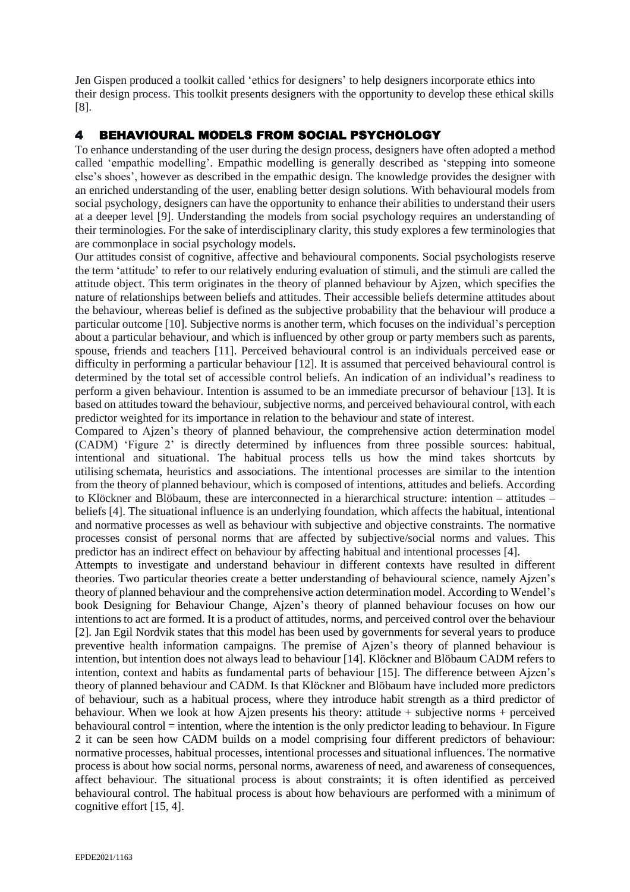Jen Gispen produced a toolkit called 'ethics for designers' to help designers incorporate ethics into their design process. This toolkit presents designers with the opportunity to develop these ethical skills [8].

### 4 BEHAVIOURAL MODELS FROM SOCIAL PSYCHOLOGY

To enhance understanding of the user during the design process, designers have often adopted a method called 'empathic modelling'. Empathic modelling is generally described as 'stepping into someone else's shoes', however as described in the empathic design. The knowledge provides the designer with an enriched understanding of the user, enabling better design solutions. With behavioural models from social psychology, designers can have the opportunity to enhance their abilities to understand their users at a deeper level [9]. Understanding the models from social psychology requires an understanding of their terminologies. For the sake of interdisciplinary clarity, this study explores a few terminologies that are commonplace in social psychology models.

Our attitudes consist of cognitive, affective and behavioural components. Social psychologists reserve the term 'attitude' to refer to our relatively enduring evaluation of stimuli, and the stimuli are called the attitude object. This term originates in the theory of planned behaviour by Ajzen, which specifies the nature of relationships between beliefs and attitudes. Their accessible beliefs determine attitudes about the behaviour, whereas belief is defined as the subjective probability that the behaviour will produce a particular outcome [10]. Subjective norms is another term, which focuses on the individual's perception about a particular behaviour, and which is influenced by other group or party members such as parents, spouse, friends and teachers [11]. Perceived behavioural control is an individuals perceived ease or difficulty in performing a particular behaviour [12]. It is assumed that perceived behavioural control is determined by the total set of accessible control beliefs. An indication of an individual's readiness to perform a given behaviour. Intention is assumed to be an immediate precursor of behaviour [13]. It is based on attitudes toward the behaviour, subjective norms, and perceived behavioural control, with each predictor weighted for its importance in relation to the behaviour and state of interest.

Compared to Ajzen's theory of planned behaviour, the comprehensive action determination model (CADM) 'Figure 2' is directly determined by influences from three possible sources: habitual, intentional and situational. The habitual process tells us how the mind takes shortcuts by utilising schemata, heuristics and associations. The intentional processes are similar to the intention from the theory of planned behaviour, which is composed of intentions, attitudes and beliefs. According to Klöckner and Blöbaum, these are interconnected in a hierarchical structure: intention – attitudes – beliefs [4]. The situational influence is an underlying foundation, which affects the habitual, intentional and normative processes as well as behaviour with subjective and objective constraints. The normative processes consist of personal norms that are affected by subjective/social norms and values. This predictor has an indirect effect on behaviour by affecting habitual and intentional processes [4].

Attempts to investigate and understand behaviour in different contexts have resulted in different theories. Two particular theories create a better understanding of behavioural science, namely Ajzen's theory of planned behaviour and the comprehensive action determination model. According to Wendel's book Designing for Behaviour Change, Ajzen's theory of planned behaviour focuses on how our intentions to act are formed. It is a product of attitudes, norms, and perceived control over the behaviour [2]. Jan Egil Nordvik states that this model has been used by governments for several years to produce preventive health information campaigns. The premise of Ajzen's theory of planned behaviour is intention, but intention does not always lead to behaviour [14]. Klöckner and Blöbaum CADM refers to intention, context and habits as fundamental parts of behaviour [15]. The difference between Ajzen's theory of planned behaviour and CADM. Is that Klöckner and Blöbaum have included more predictors of behaviour, such as a habitual process, where they introduce habit strength as a third predictor of behaviour. When we look at how Ajzen presents his theory: attitude + subjective norms + perceived behavioural control = intention, where the intention is the only predictor leading to behaviour. In Figure 2 it can be seen how CADM builds on a model comprising four different predictors of behaviour: normative processes, habitual processes, intentional processes and situational influences. The normative process is about how social norms, personal norms, awareness of need, and awareness of consequences, affect behaviour. The situational process is about constraints; it is often identified as perceived behavioural control. The habitual process is about how behaviours are performed with a minimum of cognitive effort [15, 4].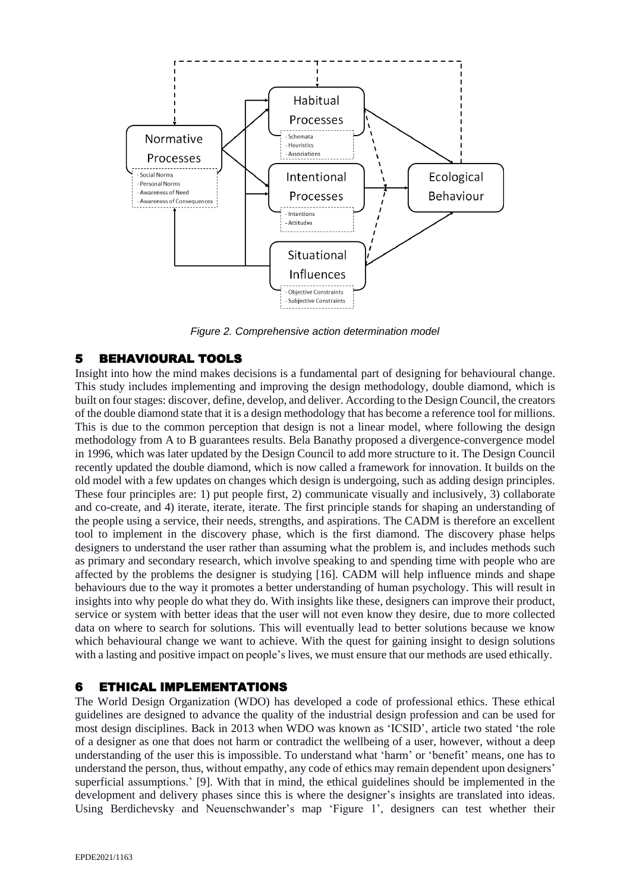

*Figure 2. Comprehensive action determination model*

## 5 BEHAVIOURAL TOOLS

Insight into how the mind makes decisions is a fundamental part of designing for behavioural change. This study includes implementing and improving the design methodology, double diamond, which is built on fourstages: discover, define, develop, and deliver. According to the Design Council, the creators of the double diamond state that it is a design methodology that has become a reference tool for millions. This is due to the common perception that design is not a linear model, where following the design methodology from A to B guarantees results. Bela Banathy proposed a divergence-convergence model in 1996, which was later updated by the Design Council to add more structure to it. The Design Council recently updated the double diamond, which is now called a framework for innovation. It builds on the old model with a few updates on changes which design is undergoing, such as adding design principles. These four principles are: 1) put people first, 2) communicate visually and inclusively, 3) collaborate and co-create, and 4) iterate, iterate, iterate. The first principle stands for shaping an understanding of the people using a service, their needs, strengths, and aspirations. The CADM is therefore an excellent tool to implement in the discovery phase, which is the first diamond. The discovery phase helps designers to understand the user rather than assuming what the problem is, and includes methods such as primary and secondary research, which involve speaking to and spending time with people who are affected by the problems the designer is studying [16]. CADM will help influence minds and shape behaviours due to the way it promotes a better understanding of human psychology. This will result in insights into why people do what they do. With insights like these, designers can improve their product, service or system with better ideas that the user will not even know they desire, due to more collected data on where to search for solutions. This will eventually lead to better solutions because we know which behavioural change we want to achieve. With the quest for gaining insight to design solutions with a lasting and positive impact on people's lives, we must ensure that our methods are used ethically.

## 6 ETHICAL IMPLEMENTATIONS

The World Design Organization (WDO) has developed a code of professional ethics. These ethical guidelines are designed to advance the quality of the industrial design profession and can be used for most design disciplines. Back in 2013 when WDO was known as 'ICSID', article two stated 'the role of a designer as one that does not harm or contradict the wellbeing of a user, however, without a deep understanding of the user this is impossible. To understand what 'harm' or 'benefit' means, one has to understand the person, thus, without empathy, any code of ethics may remain dependent upon designers' superficial assumptions.' [9]. With that in mind, the ethical guidelines should be implemented in the development and delivery phases since this is where the designer's insights are translated into ideas. Using Berdichevsky and Neuenschwander's map 'Figure 1', designers can test whether their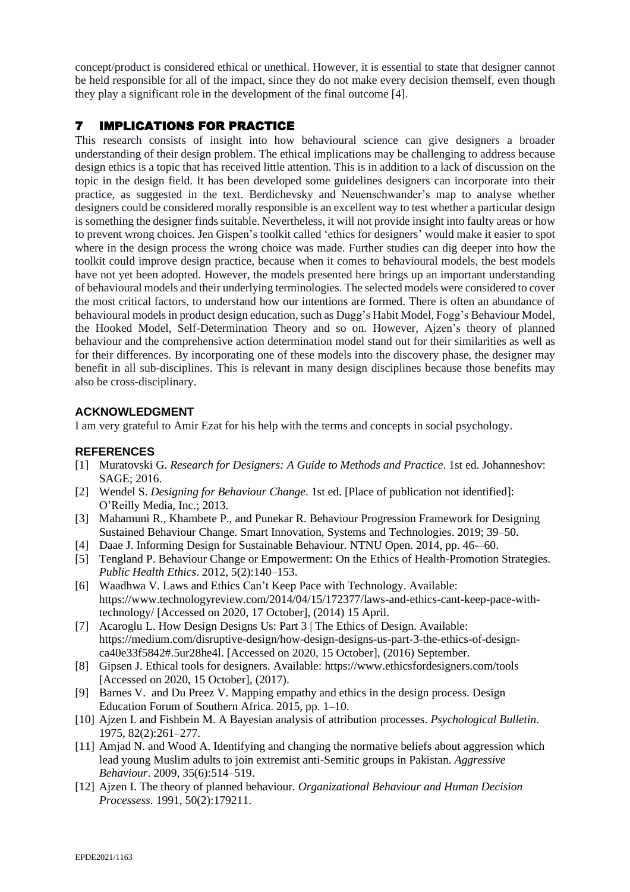concept/product is considered ethical or unethical. However, it is essential to state that designer cannot be held responsible for all of the impact, since they do not make every decision themself, even though they play a significant role in the development of the final outcome [4].

# 7 IMPLICATIONS FOR PRACTICE

This research consists of insight into how behavioural science can give designers a broader understanding of their design problem. The ethical implications may be challenging to address because design ethics is a topic that has received little attention. This is in addition to a lack of discussion on the topic in the design field. It has been developed some guidelines designers can incorporate into their practice, as suggested in the text. Berdichevsky and Neuenschwander's map to analyse whether designers could be considered morally responsible is an excellent way to test whether a particular design is something the designer finds suitable. Nevertheless, it will not provide insight into faulty areas or how to prevent wrong choices. Jen Gispen's toolkit called 'ethics for designers' would make it easier to spot where in the design process the wrong choice was made. Further studies can dig deeper into how the toolkit could improve design practice, because when it comes to behavioural models, the best models have not yet been adopted. However, the models presented here brings up an important understanding of behavioural models and their underlying terminologies. The selected models were considered to cover the most critical factors, to understand how our intentions are formed. There is often an abundance of behavioural models in product design education, such as Dugg's Habit Model, Fogg's Behaviour Model, the Hooked Model, Self-Determination Theory and so on. However, Ajzen's theory of planned behaviour and the comprehensive action determination model stand out for their similarities as well as for their differences. By incorporating one of these models into the discovery phase, the designer may benefit in all sub-disciplines. This is relevant in many design disciplines because those benefits may also be cross-disciplinary.

#### **ACKNOWLEDGMENT**

I am very grateful to Amir Ezat for his help with the terms and concepts in social psychology.

#### **REFERENCES**

- [1] Muratovski G. *Research for Designers: A Guide to Methods and Practice*. 1st ed. Johanneshov: SAGE; 2016.
- [2] Wendel S. *Designing for Behaviour Change*. 1st ed. [Place of publication not identified]: O'Reilly Media, Inc.; 2013.
- [3] Mahamuni R., Khambete P., and Punekar R. Behaviour Progression Framework for Designing Sustained Behaviour Change. Smart Innovation, Systems and Technologies. 2019; 39–50.
- [4] Daae J. Informing Design for Sustainable Behaviour. NTNU Open. 2014, pp. 46-–60.
- [5] Tengland P. Behaviour Change or Empowerment: On the Ethics of Health-Promotion Strategies. *Public Health Ethics*. 2012, 5(2):140–153.
- [6] Waadhwa V. Laws and Ethics Can't Keep Pace with Technology. Available[:](https://www.technologyreview.com/2014/04/15/172377/laws-and-ethics-cant-keep-pace-with-technology/) [https://www.technologyreview.com/2014/04/15/172377/laws-and-ethics-cant-keep-pace-with](https://www.technologyreview.com/2014/04/15/172377/laws-and-ethics-cant-keep-pace-with-technology/)[technology/](https://www.technologyreview.com/2014/04/15/172377/laws-and-ethics-cant-keep-pace-with-technology/) [Accessed on 2020, 17 October], (2014) 15 April.
- [7] Acaroglu L. How Design Designs Us: Part 3 | The Ethics of Design. Available[:](https://medium.com/disruptive-design/how-design-designs-us-part-3-the-ethics-of-design-ca40e33f5842%25252523.5ur28he4l) [https://medium.com/disruptive-design/how-design-designs-us-part-3-the-ethics-of-design](https://medium.com/disruptive-design/how-design-designs-us-part-3-the-ethics-of-design-ca40e33f5842%25252523.5ur28he4l)[ca40e33f5842#.5ur28he4l.](https://medium.com/disruptive-design/how-design-designs-us-part-3-the-ethics-of-design-ca40e33f5842%25252523.5ur28he4l) [Accessed on 2020, 15 October], (2016) September.
- [8] Gipsen J. Ethical tools for designers. Available: <https://www.ethicsfordesigners.com/tools> [Accessed on 2020, 15 October], (2017).
- [9] Barnes V. and Du Preez V. Mapping empathy and ethics in the design process. Design Education Forum of Southern Africa. 2015, pp. 1–10.
- [10] Ajzen I. and Fishbein M. A Bayesian analysis of attribution processes. *Psychological Bulletin*. 1975, 82(2):261–277.
- [11] Amjad N. and Wood A. Identifying and changing the normative beliefs about aggression which lead young Muslim adults to join extremist anti-Semitic groups in Pakistan. *Aggressive Behaviour*. 2009, 35(6):514–519.
- [12] Ajzen I. The theory of planned behaviour. *Organizational Behaviour and Human Decision Processess*. 1991, 50(2):179211.